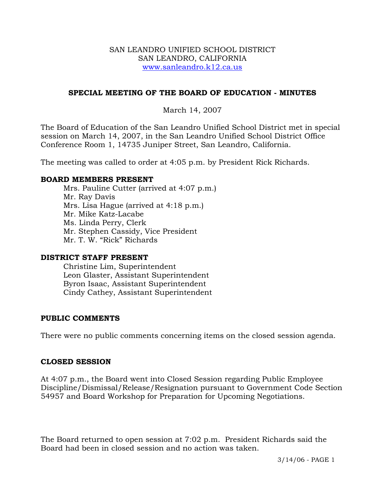#### SAN LEANDRO UNIFIED SCHOOL DISTRICT SAN LEANDRO, CALIFORNIA www.sanleandro.k12.ca.us

## **SPECIAL MEETING OF THE BOARD OF EDUCATION - MINUTES**

## March 14, 2007

The Board of Education of the San Leandro Unified School District met in special session on March 14, 2007, in the San Leandro Unified School District Office Conference Room 1, 14735 Juniper Street, San Leandro, California.

The meeting was called to order at 4:05 p.m. by President Rick Richards.

#### **BOARD MEMBERS PRESENT**

Mrs. Pauline Cutter (arrived at 4:07 p.m.) Mr. Ray Davis Mrs. Lisa Hague (arrived at 4:18 p.m.) Mr. Mike Katz-Lacabe Ms. Linda Perry, Clerk Mr. Stephen Cassidy, Vice President Mr. T. W. "Rick" Richards

#### **DISTRICT STAFF PRESENT**

Christine Lim, Superintendent Leon Glaster, Assistant Superintendent Byron Isaac, Assistant Superintendent Cindy Cathey, Assistant Superintendent

#### **PUBLIC COMMENTS**

There were no public comments concerning items on the closed session agenda.

#### **CLOSED SESSION**

At 4:07 p.m., the Board went into Closed Session regarding Public Employee Discipline/Dismissal/Release/Resignation pursuant to Government Code Section 54957 and Board Workshop for Preparation for Upcoming Negotiations.

The Board returned to open session at 7:02 p.m. President Richards said the Board had been in closed session and no action was taken.

3/14/06 - PAGE 1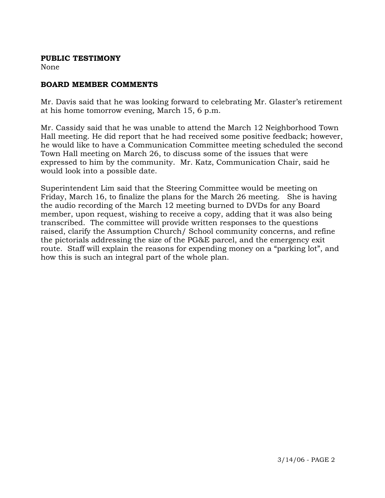### **PUBLIC TESTIMONY**

None

# **BOARD MEMBER COMMENTS**

Mr. Davis said that he was looking forward to celebrating Mr. Glaster's retirement at his home tomorrow evening, March 15, 6 p.m.

Mr. Cassidy said that he was unable to attend the March 12 Neighborhood Town Hall meeting. He did report that he had received some positive feedback; however, he would like to have a Communication Committee meeting scheduled the second Town Hall meeting on March 26, to discuss some of the issues that were expressed to him by the community. Mr. Katz, Communication Chair, said he would look into a possible date.

Superintendent Lim said that the Steering Committee would be meeting on Friday, March 16, to finalize the plans for the March 26 meeting. She is having the audio recording of the March 12 meeting burned to DVDs for any Board member, upon request, wishing to receive a copy, adding that it was also being transcribed. The committee will provide written responses to the questions raised, clarify the Assumption Church/ School community concerns, and refine the pictorials addressing the size of the PG&E parcel, and the emergency exit route. Staff will explain the reasons for expending money on a "parking lot", and how this is such an integral part of the whole plan.